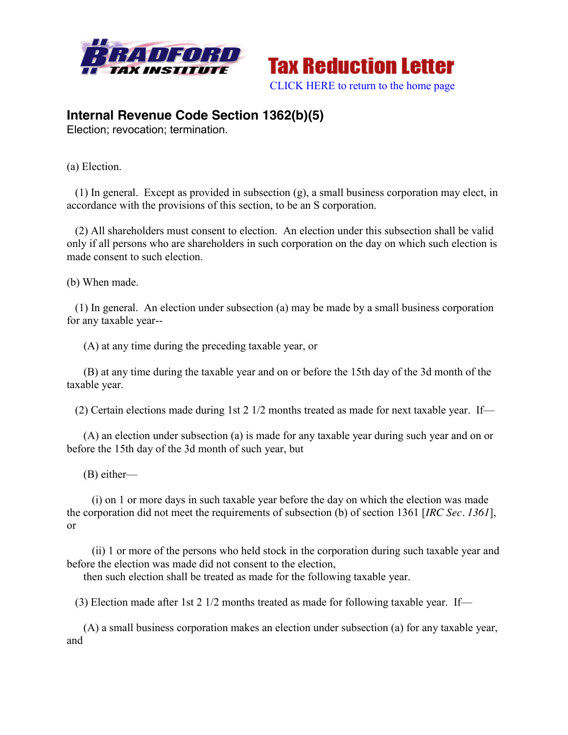



## **Internal Revenue Code Section 1362(b)(5)**

Election; revocation; termination.

(a) Election.

 (1) In general. Except as provided in subsection (g), a small business corporation may elect, in accordance with the provisions of this section, to be an S corporation.

 (2) All shareholders must consent to election. An election under this subsection shall be valid only if all persons who are shareholders in such corporation on the day on which such election is made consent to such election.

(b) When made.

 (1) In general. An election under subsection (a) may be made by a small business corporation for any taxable year--

(A) at any time during the preceding taxable year, or

 (B) at any time during the taxable year and on or before the 15th day of the 3d month of the taxable year.

(2) Certain elections made during 1st 2 1/2 months treated as made for next taxable year. If—

 (A) an election under subsection (a) is made for any taxable year during such year and on or before the 15th day of the 3d month of such year, but

(B) either—

 (i) on 1 or more days in such taxable year before the day on which the election was made the corporation did not meet the requirements of subsection (b) of section 1361 [*IRC Sec. 1361*], or

 (ii) 1 or more of the persons who held stock in the corporation during such taxable year and before the election was made did not consent to the election,

then such election shall be treated as made for the following taxable year.

(3) Election made after 1st 2 1/2 months treated as made for following taxable year. If—

 (A) a small business corporation makes an election under subsection (a) for any taxable year, and